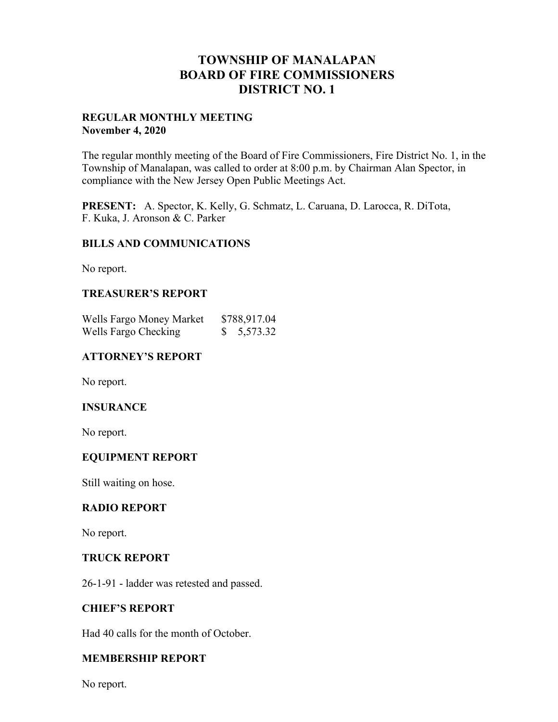## **TOWNSHIP OF MANALAPAN BOARD OF FIRE COMMISSIONERS DISTRICT NO. 1**

## **REGULAR MONTHLY MEETING November 4, 2020**

The regular monthly meeting of the Board of Fire Commissioners, Fire District No. 1, in the Township of Manalapan, was called to order at 8:00 p.m. by Chairman Alan Spector, in compliance with the New Jersey Open Public Meetings Act.

**PRESENT:** A. Spector, K. Kelly, G. Schmatz, L. Caruana, D. Larocca, R. DiTota, F. Kuka, J. Aronson & C. Parker

## **BILLS AND COMMUNICATIONS**

No report.

## **TREASURER'S REPORT**

| Wells Fargo Money Market | \$788,917.04 |
|--------------------------|--------------|
| Wells Fargo Checking     | \$5,573.32   |

## **ATTORNEY'S REPORT**

No report.

## **INSURANCE**

No report.

## **EQUIPMENT REPORT**

Still waiting on hose.

#### **RADIO REPORT**

No report.

#### **TRUCK REPORT**

26-1-91 - ladder was retested and passed.

#### **CHIEF'S REPORT**

Had 40 calls for the month of October.

## **MEMBERSHIP REPORT**

No report.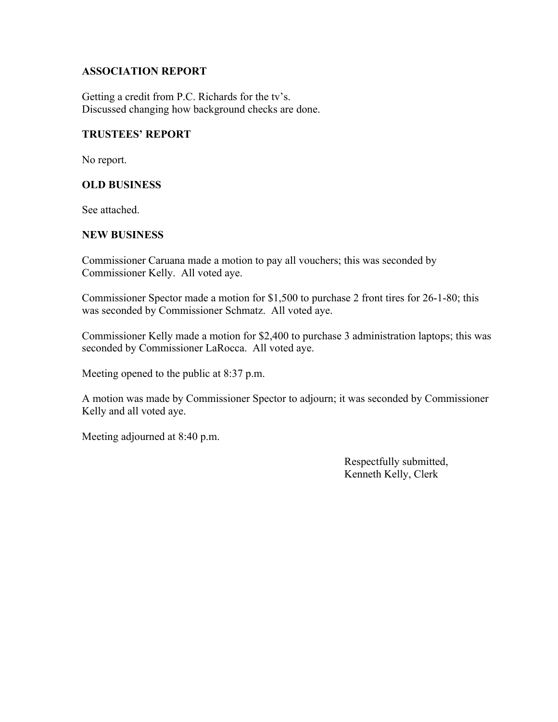## **ASSOCIATION REPORT**

Getting a credit from P.C. Richards for the tv's. Discussed changing how background checks are done.

## **TRUSTEES' REPORT**

No report.

## **OLD BUSINESS**

See attached.

## **NEW BUSINESS**

Commissioner Caruana made a motion to pay all vouchers; this was seconded by Commissioner Kelly. All voted aye.

Commissioner Spector made a motion for \$1,500 to purchase 2 front tires for 26-1-80; this was seconded by Commissioner Schmatz. All voted aye.

Commissioner Kelly made a motion for \$2,400 to purchase 3 administration laptops; this was seconded by Commissioner LaRocca. All voted aye.

Meeting opened to the public at 8:37 p.m.

A motion was made by Commissioner Spector to adjourn; it was seconded by Commissioner Kelly and all voted aye.

Meeting adjourned at 8:40 p.m.

 Respectfully submitted, Kenneth Kelly, Clerk